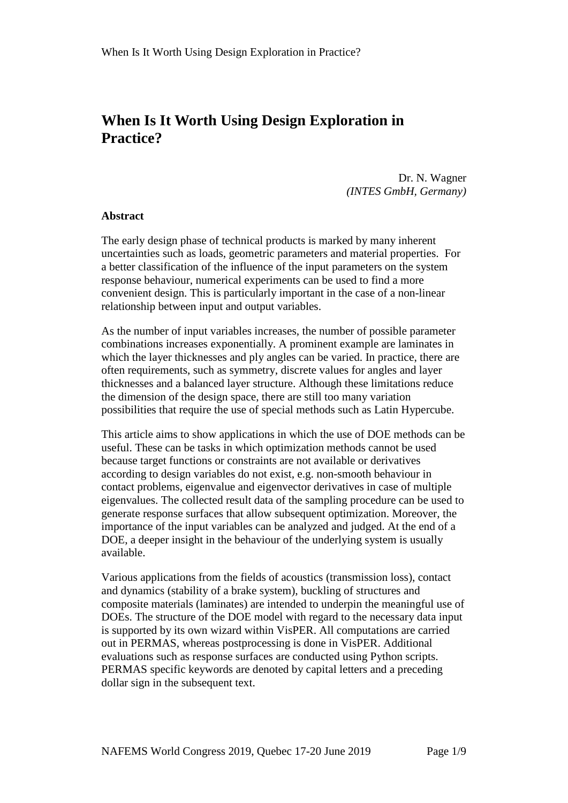# **When Is It Worth Using Design Exploration in Practice?**

Dr. N. Wagner *(INTES GmbH, Germany)*

#### **Abstract**

The early design phase of technical products is marked by many inherent uncertainties such as loads, geometric parameters and material properties. For a better classification of the influence of the input parameters on the system response behaviour, numerical experiments can be used to find a more convenient design. This is particularly important in the case of a non-linear relationship between input and output variables.

As the number of input variables increases, the number of possible parameter combinations increases exponentially. A prominent example are laminates in which the layer thicknesses and ply angles can be varied. In practice, there are often requirements, such as symmetry, discrete values for angles and layer thicknesses and a balanced layer structure. Although these limitations reduce the dimension of the design space, there are still too many variation possibilities that require the use of special methods such as Latin Hypercube.

This article aims to show applications in which the use of DOE methods can be useful. These can be tasks in which optimization methods cannot be used because target functions or constraints are not available or derivatives according to design variables do not exist, e.g. non-smooth behaviour in contact problems, eigenvalue and eigenvector derivatives in case of multiple eigenvalues. The collected result data of the sampling procedure can be used to generate response surfaces that allow subsequent optimization. Moreover, the importance of the input variables can be analyzed and judged. At the end of a DOE, a deeper insight in the behaviour of the underlying system is usually available.

Various applications from the fields of acoustics (transmission loss), contact and dynamics (stability of a brake system), buckling of structures and composite materials (laminates) are intended to underpin the meaningful use of DOEs. The structure of the DOE model with regard to the necessary data input is supported by its own wizard within VisPER. All computations are carried out in PERMAS, whereas postprocessing is done in VisPER. Additional evaluations such as response surfaces are conducted using Python scripts. PERMAS specific keywords are denoted by capital letters and a preceding dollar sign in the subsequent text.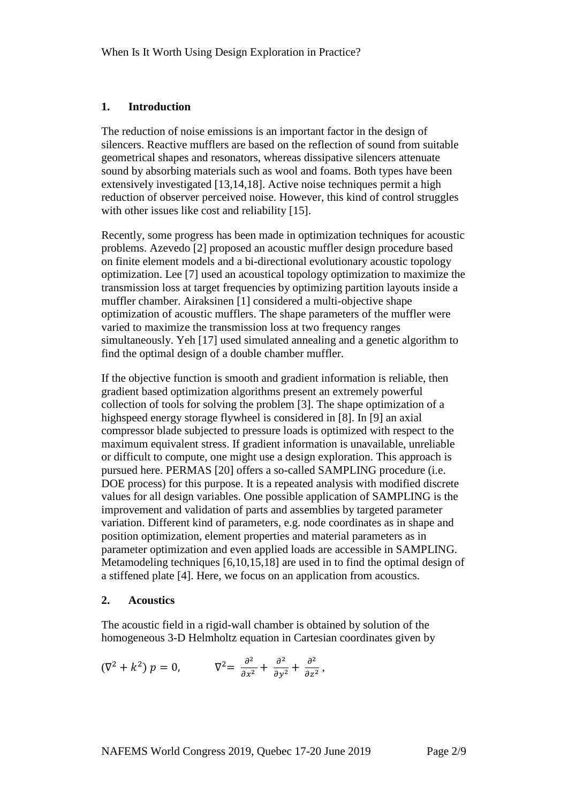#### **1. Introduction**

The reduction of noise emissions is an important factor in the design of silencers. Reactive mufflers are based on the reflection of sound from suitable geometrical shapes and resonators, whereas dissipative silencers attenuate sound by absorbing materials such as wool and foams. Both types have been extensively investigated [13,14,18]. Active noise techniques permit a high reduction of observer perceived noise. However, this kind of control struggles with other issues like cost and reliability [15].

Recently, some progress has been made in optimization techniques for acoustic problems. Azevedo [2] proposed an acoustic muffler design procedure based on finite element models and a bi-directional evolutionary acoustic topology optimization. Lee [7] used an acoustical topology optimization to maximize the transmission loss at target frequencies by optimizing partition layouts inside a muffler chamber. Airaksinen [1] considered a multi-objective shape optimization of acoustic mufflers. The shape parameters of the muffler were varied to maximize the transmission loss at two frequency ranges simultaneously. Yeh [17] used simulated annealing and a genetic algorithm to find the optimal design of a double chamber muffler.

If the objective function is smooth and gradient information is reliable, then gradient based optimization algorithms present an extremely powerful collection of tools for solving the problem [3]. The shape optimization of a highspeed energy storage flywheel is considered in [8]. In [9] an axial compressor blade subjected to pressure loads is optimized with respect to the maximum equivalent stress. If gradient information is unavailable, unreliable or difficult to compute, one might use a design exploration. This approach is pursued here. PERMAS [20] offers a so-called SAMPLING procedure (i.e. DOE process) for this purpose. It is a repeated analysis with modified discrete values for all design variables. One possible application of SAMPLING is the improvement and validation of parts and assemblies by targeted parameter variation. Different kind of parameters, e.g. node coordinates as in shape and position optimization, element properties and material parameters as in parameter optimization and even applied loads are accessible in SAMPLING. Metamodeling techniques [6,10,15,18] are used in to find the optimal design of a stiffened plate [4]. Here, we focus on an application from acoustics.

### **2. Acoustics**

The acoustic field in a rigid-wall chamber is obtained by solution of the homogeneous 3-D Helmholtz equation in Cartesian coordinates given by

$$
(\nabla^2 + k^2) p = 0, \qquad \nabla^2 = \frac{\partial^2}{\partial x^2} + \frac{\partial^2}{\partial y^2} + \frac{\partial^2}{\partial z^2},
$$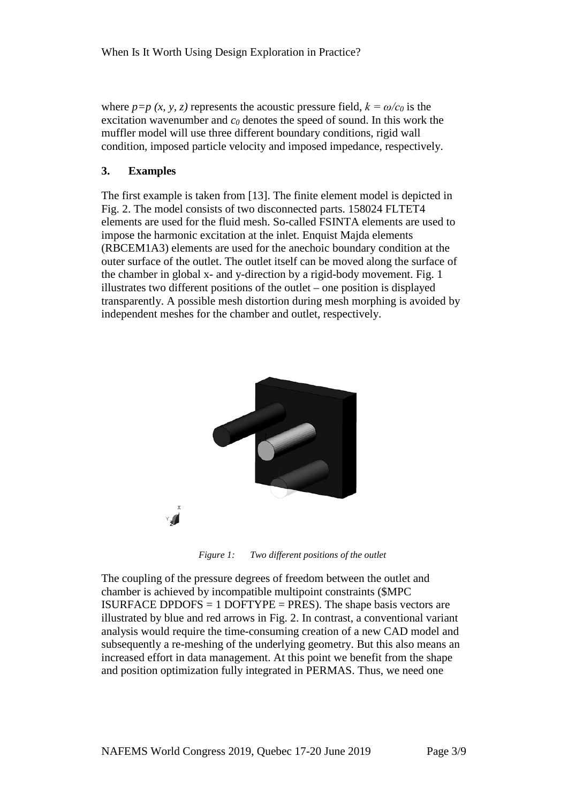where  $p=p(x, y, z)$  represents the acoustic pressure field,  $k = \omega/c_0$  is the excitation wavenumber and  $c_0$  denotes the speed of sound. In this work the muffler model will use three different boundary conditions, rigid wall condition, imposed particle velocity and imposed impedance, respectively.

## **3. Examples**

The first example is taken from [13]. The finite element model is depicted in Fig. 2. The model consists of two disconnected parts. 158024 FLTET4 elements are used for the fluid mesh. So-called FSINTA elements are used to impose the harmonic excitation at the inlet. Enquist Majda elements (RBCEM1A3) elements are used for the anechoic boundary condition at the outer surface of the outlet. The outlet itself can be moved along the surface of the chamber in global x- and y-direction by a rigid-body movement. Fig. 1 illustrates two different positions of the outlet – one position is displayed transparently. A possible mesh distortion during mesh morphing is avoided by independent meshes for the chamber and outlet, respectively.



*Figure 1: Two different positions of the outlet*

The coupling of the pressure degrees of freedom between the outlet and chamber is achieved by incompatible multipoint constraints (\$MPC ISURFACE DPDOFS  $= 1$  DOFTYPE  $=$  PRES). The shape basis vectors are illustrated by blue and red arrows in Fig. 2. In contrast, a conventional variant analysis would require the time-consuming creation of a new CAD model and subsequently a re-meshing of the underlying geometry. But this also means an increased effort in data management. At this point we benefit from the shape and position optimization fully integrated in PERMAS. Thus, we need one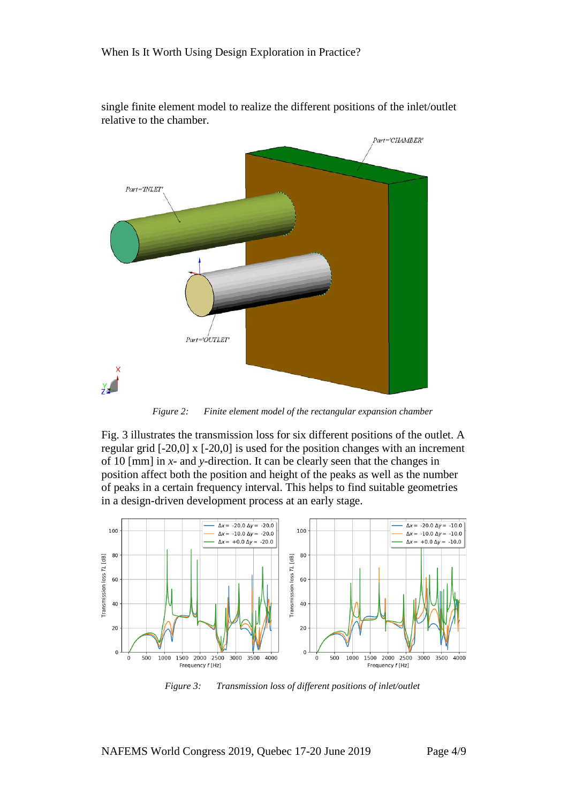

single finite element model to realize the different positions of the inlet/outlet relative to the chamber.

*Figure 2: Finite element model of the rectangular expansion chamber*

Fig. 3 illustrates the transmission loss for six different positions of the outlet. A regular grid [-20,0] x [-20,0] is used for the position changes with an increment of 10 [mm] in *x-* and *y-*direction. It can be clearly seen that the changes in position affect both the position and height of the peaks as well as the number of peaks in a certain frequency interval. This helps to find suitable geometries in a design-driven development process at an early stage.



*Figure 3: Transmission loss of different positions of inlet/outlet*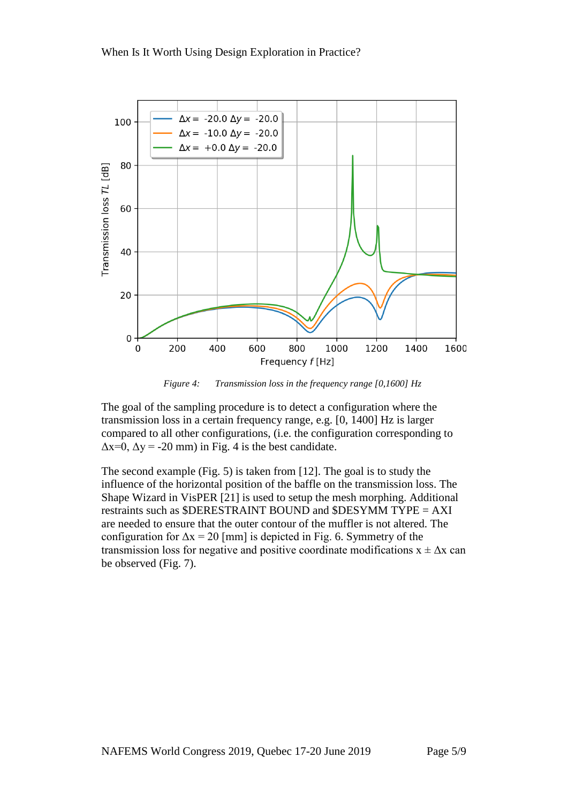

*Figure 4: Transmission loss in the frequency range [0,1600] Hz*

The goal of the sampling procedure is to detect a configuration where the transmission loss in a certain frequency range, e.g. [0, 1400] Hz is larger compared to all other configurations, (i.e. the configuration corresponding to  $\Delta x=0$ ,  $\Delta y = -20$  mm) in Fig. 4 is the best candidate.

The second example (Fig. 5) is taken from [12]. The goal is to study the influence of the horizontal position of the baffle on the transmission loss. The Shape Wizard in VisPER [21] is used to setup the mesh morphing. Additional restraints such as \$DERESTRAINT BOUND and \$DESYMM TYPE = AXI are needed to ensure that the outer contour of the muffler is not altered. The configuration for  $\Delta x = 20$  [mm] is depicted in Fig. 6. Symmetry of the transmission loss for negative and positive coordinate modifications  $x \pm \Delta x$  can be observed (Fig. 7).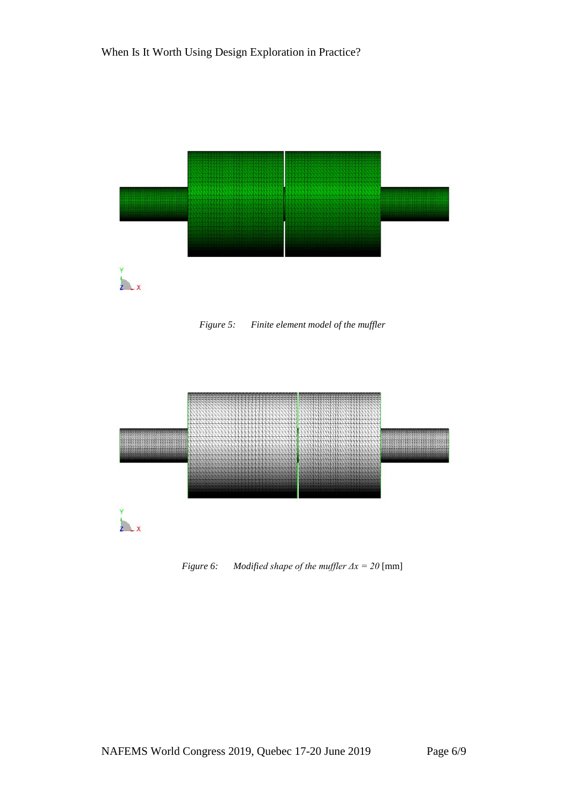

*Figure 5: Finite element model of the muffler*



*Figure 6: Modified shape of the muffler Δx = 20* [mm]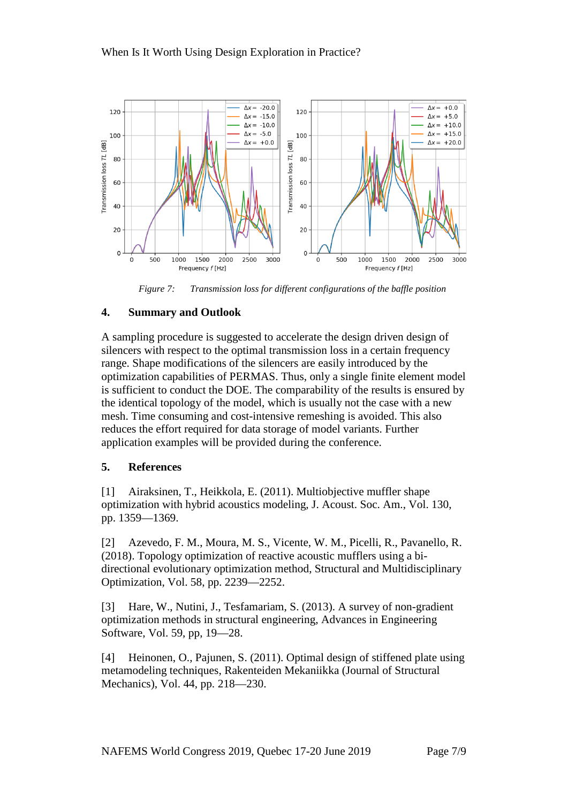

*Figure 7: Transmission loss for different configurations of the baffle position*

# **4. Summary and Outlook**

A sampling procedure is suggested to accelerate the design driven design of silencers with respect to the optimal transmission loss in a certain frequency range. Shape modifications of the silencers are easily introduced by the optimization capabilities of PERMAS. Thus, only a single finite element model is sufficient to conduct the DOE. The comparability of the results is ensured by the identical topology of the model, which is usually not the case with a new mesh. Time consuming and cost-intensive remeshing is avoided. This also reduces the effort required for data storage of model variants. Further application examples will be provided during the conference.

# **5. References**

[1] Airaksinen, T., Heikkola, E. (2011). Multiobjective muffler shape optimization with hybrid acoustics modeling, J. Acoust. Soc. Am., Vol. 130, pp. 1359—1369.

[2] Azevedo, F. M., Moura, M. S., Vicente, W. M., Picelli, R., Pavanello, R. (2018). Topology optimization of reactive acoustic mufflers using a bidirectional evolutionary optimization method, Structural and Multidisciplinary Optimization, Vol. 58, pp. 2239—2252.

[3] Hare, W., Nutini, J., Tesfamariam, S. (2013). A survey of non-gradient optimization methods in structural engineering, Advances in Engineering Software, Vol. 59, pp, 19—28.

[4] Heinonen, O., Pajunen, S. (2011). Optimal design of stiffened plate using metamodeling techniques, Rakenteiden Mekaniikka (Journal of Structural Mechanics), Vol. 44, pp. 218—230.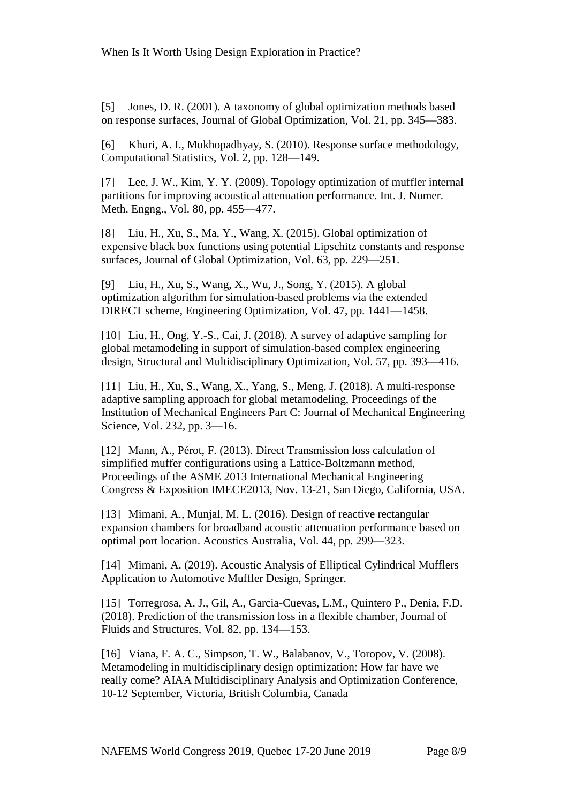[5] Jones, D. R. (2001). A taxonomy of global optimization methods based on response surfaces, Journal of Global Optimization, Vol. 21, pp. 345—383.

[6] Khuri, A. I., Mukhopadhyay, S. (2010). Response surface methodology, Computational Statistics, Vol. 2, pp. 128—149.

[7] Lee, J. W., Kim, Y. Y. (2009). Topology optimization of muffler internal partitions for improving acoustical attenuation performance. Int. J. Numer. Meth. Engng., Vol. 80, pp. 455—477.

[8] Liu, H., Xu, S., Ma, Y., Wang, X. (2015). Global optimization of expensive black box functions using potential Lipschitz constants and response surfaces, Journal of Global Optimization, Vol. 63, pp. 229—251.

[9] Liu, H., Xu, S., Wang, X., Wu, J., Song, Y. (2015). A global optimization algorithm for simulation-based problems via the extended DIRECT scheme, Engineering Optimization, Vol. 47, pp. 1441—1458.

[10] Liu, H., Ong, Y.-S., Cai, J. (2018). A survey of adaptive sampling for global metamodeling in support of simulation-based complex engineering design, Structural and Multidisciplinary Optimization, Vol. 57, pp. 393—416.

[11] Liu, H., Xu, S., Wang, X., Yang, S., Meng, J. (2018). A multi-response adaptive sampling approach for global metamodeling, Proceedings of the Institution of Mechanical Engineers Part C: Journal of Mechanical Engineering Science, Vol. 232, pp. 3—16.

[12] Mann, A., Pérot, F. (2013). Direct Transmission loss calculation of simplified muffer configurations using a Lattice-Boltzmann method, Proceedings of the ASME 2013 International Mechanical Engineering Congress & Exposition IMECE2013, Nov. 13-21, San Diego, California, USA.

[13] Mimani, A., Munjal, M. L. (2016). Design of reactive rectangular expansion chambers for broadband acoustic attenuation performance based on optimal port location. Acoustics Australia, Vol. 44, pp. 299—323.

[14] Mimani, A. (2019). Acoustic Analysis of Elliptical Cylindrical Mufflers Application to Automotive Muffler Design, Springer.

[15] Torregrosa, A. J., Gil, A., Garcia-Cuevas, L.M., Quintero P., Denia, F.D. (2018). Prediction of the transmission loss in a flexible chamber, Journal of Fluids and Structures, Vol. 82, pp. 134—153.

[16] Viana, F. A. C., Simpson, T. W., Balabanov, V., Toropov, V. (2008). Metamodeling in multidisciplinary design optimization: How far have we really come? AIAA Multidisciplinary Analysis and Optimization Conference, 10-12 September, Victoria, British Columbia, Canada